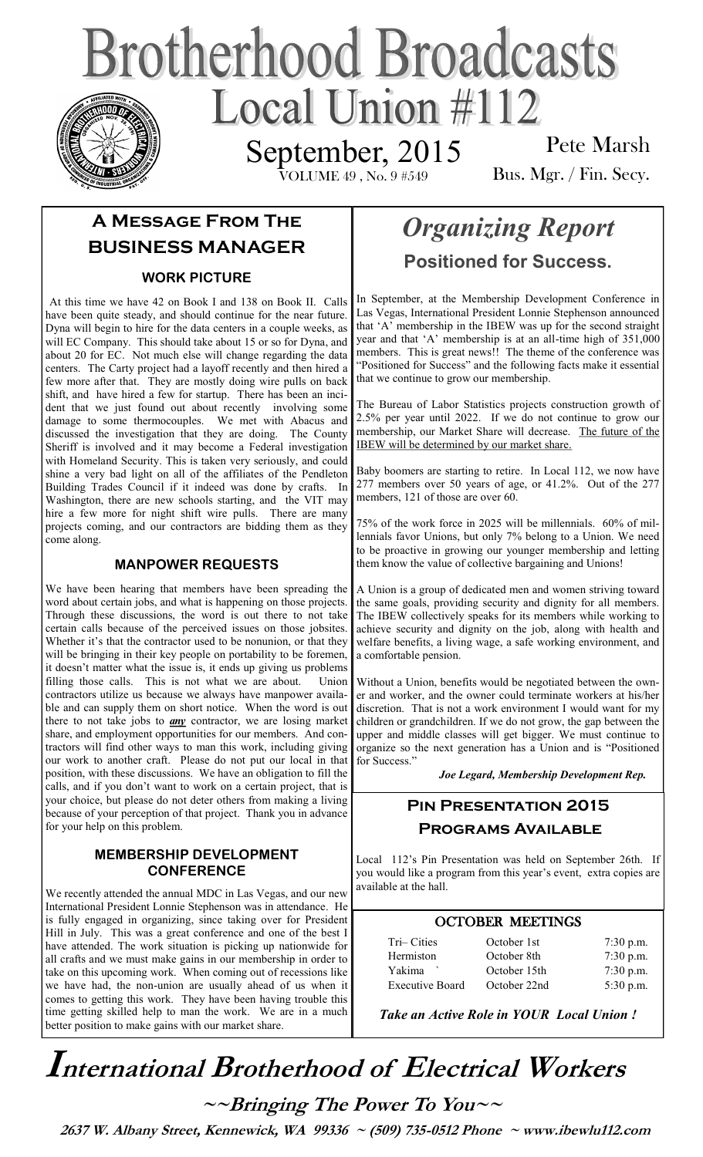# **Brotherhood Broadcasts** Local Union  $\#112$ September, 2015

VOLUME 49 , No. 9 #549

Pete Marsh Bus. Mgr. / Fin. Secy.

## **A Message From The BUSINESS MANAGER**

## **WORK PICTURE**

At this time we have 42 on Book I and 138 on Book II. Calls have been quite steady, and should continue for the near future. Dyna will begin to hire for the data centers in a couple weeks, as will EC Company. This should take about 15 or so for Dyna, and about 20 for EC. Not much else will change regarding the data centers. The Carty project had a layoff recently and then hired a few more after that. They are mostly doing wire pulls on back shift, and have hired a few for startup. There has been an incident that we just found out about recently involving some damage to some thermocouples. We met with Abacus and discussed the investigation that they are doing. The County Sheriff is involved and it may become a Federal investigation with Homeland Security. This is taken very seriously, and could shine a very bad light on all of the affiliates of the Pendleton Building Trades Council if it indeed was done by crafts. In Washington, there are new schools starting, and the VIT may hire a few more for night shift wire pulls. There are many projects coming, and our contractors are bidding them as they come along.

### **MANPOWER REQUESTS**

We have been hearing that members have been spreading the word about certain jobs, and what is happening on those projects. Through these discussions, the word is out there to not take certain calls because of the perceived issues on those jobsites. Whether it's that the contractor used to be nonunion, or that they will be bringing in their key people on portability to be foremen, it doesn't matter what the issue is, it ends up giving us problems filling those calls. This is not what we are about. Union contractors utilize us because we always have manpower available and can supply them on short notice. When the word is out there to not take jobs to *any* contractor, we are losing market share, and employment opportunities for our members. And contractors will find other ways to man this work, including giving our work to another craft. Please do not put our local in that position, with these discussions. We have an obligation to fill the calls, and if you don't want to work on a certain project, that is your choice, but please do not deter others from making a living because of your perception of that project. Thank you in advance for your help on this problem.

#### **MEMBERSHIP DEVELOPMENT CONFERENCE**

We recently attended the annual MDC in Las Vegas, and our new International President Lonnie Stephenson was in attendance. He is fully engaged in organizing, since taking over for President Hill in July. This was a great conference and one of the best I have attended. The work situation is picking up nationwide for all crafts and we must make gains in our membership in order to take on this upcoming work. When coming out of recessions like we have had, the non-union are usually ahead of us when it comes to getting this work. They have been having trouble this time getting skilled help to man the work. We are in a much better position to make gains with our market share.

# *Organizing Report*  **Positioned for Success.**

In September, at the Membership Development Conference in Las Vegas, International President Lonnie Stephenson announced that 'A' membership in the IBEW was up for the second straight year and that 'A' membership is at an all-time high of 351,000 members. This is great news!! The theme of the conference was "Positioned for Success" and the following facts make it essential that we continue to grow our membership.

The Bureau of Labor Statistics projects construction growth of 2.5% per year until 2022. If we do not continue to grow our membership, our Market Share will decrease. The future of the IBEW will be determined by our market share.

Baby boomers are starting to retire. In Local 112, we now have 277 members over 50 years of age, or 41.2%. Out of the 277 members, 121 of those are over 60.

75% of the work force in 2025 will be millennials. 60% of millennials favor Unions, but only 7% belong to a Union. We need to be proactive in growing our younger membership and letting them know the value of collective bargaining and Unions!

A Union is a group of dedicated men and women striving toward the same goals, providing security and dignity for all members. The IBEW collectively speaks for its members while working to achieve security and dignity on the job, along with health and welfare benefits, a living wage, a safe working environment, and a comfortable pension.

Without a Union, benefits would be negotiated between the owner and worker, and the owner could terminate workers at his/her discretion. That is not a work environment I would want for my children or grandchildren. If we do not grow, the gap between the upper and middle classes will get bigger. We must continue to organize so the next generation has a Union and is "Positioned for Success."

*Joe Legard, Membership Development Rep.* 

## **Pin Presentation 2015 Programs Available**

Local 112's Pin Presentation was held on September 26th. If you would like a program from this year's event, extra copies are available at the hall.

## OCTOBER MEETINGS

| Tri-Cities             | October 1st  | $7:30$ p.m. |
|------------------------|--------------|-------------|
| Hermiston              | October 8th  | $7:30$ p.m. |
| Yakima                 | October 15th | $7:30$ p.m. |
| <b>Executive Board</b> | October 22nd | 5:30 p.m.   |

*Take an Active Role in YOUR Local Union !* 

# **International Brotherhood of <sup>E</sup>lectrical Workers**

**~~Bringing The Power To You~~** 

 **2637 W. Albany Street, Kennewick, WA 99336 ~ (509) 735-0512 Phone ~ www.ibewlu112.com**